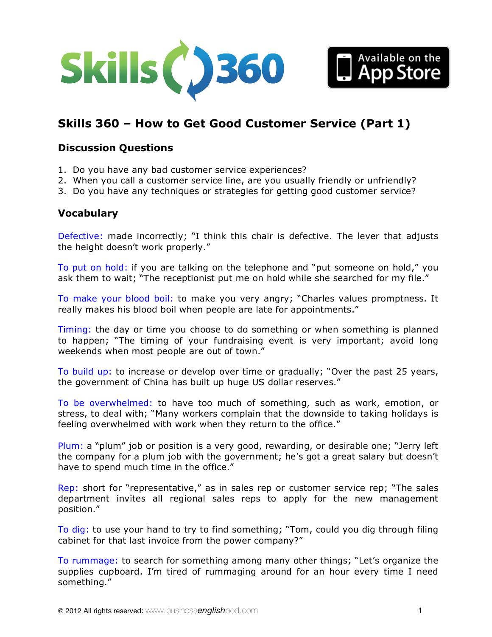



## **Discussion Questions**

- 1. Do you have any bad customer service experiences?
- 2. When you call a customer service line, are you usually friendly or unfriendly?
- 3. Do you have any techniques or strategies for getting good customer service?

#### **Vocabulary**

Defective: made incorrectly; "I think this chair is defective. The lever that adjusts the height doesn't work properly."

To put on hold: if you are talking on the telephone and "put someone on hold," you ask them to wait; "The receptionist put me on hold while she searched for my file."

To make your blood boil: to make you very angry; "Charles values promptness. It really makes his blood boil when people are late for appointments."

Timing: the day or time you choose to do something or when something is planned to happen; "The timing of your fundraising event is very important; avoid long weekends when most people are out of town."

To build up: to increase or develop over time or gradually; "Over the past 25 years, the government of China has built up huge US dollar reserves."

To be overwhelmed: to have too much of something, such as work, emotion, or stress, to deal with; "Many workers complain that the downside to taking holidays is feeling overwhelmed with work when they return to the office."

Plum: a "plum" job or position is a very good, rewarding, or desirable one; "Jerry left the company for a plum job with the government; he's got a great salary but doesn't have to spend much time in the office."

Rep: short for "representative," as in sales rep or customer service rep; "The sales department invites all regional sales reps to apply for the new management position."

To dig: to use your hand to try to find something; "Tom, could you dig through filing cabinet for that last invoice from the power company?"

To rummage: to search for something among many other things; "Let's organize the supplies cupboard. I'm tired of rummaging around for an hour every time I need something."

Available on the<br>| App Store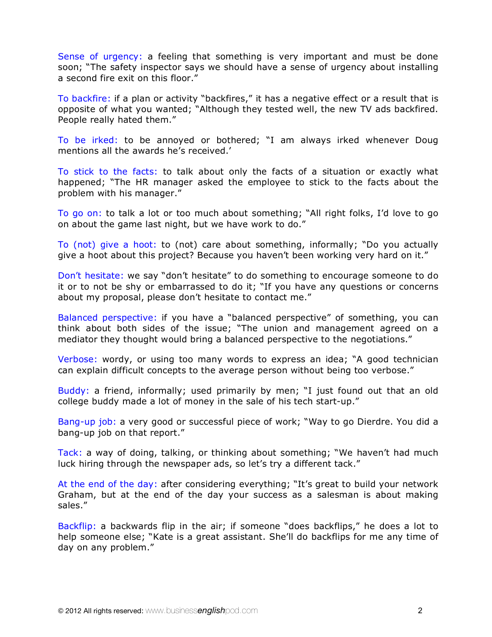Sense of urgency: a feeling that something is very important and must be done soon; "The safety inspector says we should have a sense of urgency about installing a second fire exit on this floor."

To backfire: if a plan or activity "backfires," it has a negative effect or a result that is opposite of what you wanted; "Although they tested well, the new TV ads backfired. People really hated them."

To be irked: to be annoyed or bothered; "I am always irked whenever Doug mentions all the awards he's received.'

To stick to the facts: to talk about only the facts of a situation or exactly what happened; "The HR manager asked the employee to stick to the facts about the problem with his manager."

To go on: to talk a lot or too much about something; "All right folks, I'd love to go on about the game last night, but we have work to do."

To (not) give a hoot: to (not) care about something, informally; "Do you actually give a hoot about this project? Because you haven't been working very hard on it."

Don't hesitate: we say "don't hesitate" to do something to encourage someone to do it or to not be shy or embarrassed to do it; "If you have any questions or concerns about my proposal, please don't hesitate to contact me."

Balanced perspective: if you have a "balanced perspective" of something, you can think about both sides of the issue; "The union and management agreed on a mediator they thought would bring a balanced perspective to the negotiations."

Verbose: wordy, or using too many words to express an idea; "A good technician can explain difficult concepts to the average person without being too verbose."

Buddy: a friend, informally; used primarily by men; "I just found out that an old college buddy made a lot of money in the sale of his tech start-up."

Bang-up job: a very good or successful piece of work; "Way to go Dierdre. You did a bang-up job on that report."

Tack: a way of doing, talking, or thinking about something; "We haven't had much luck hiring through the newspaper ads, so let's try a different tack."

At the end of the day: after considering everything; "It's great to build your network Graham, but at the end of the day your success as a salesman is about making sales."

Backflip: a backwards flip in the air; if someone "does backflips," he does a lot to help someone else; "Kate is a great assistant. She'll do backflips for me any time of day on any problem."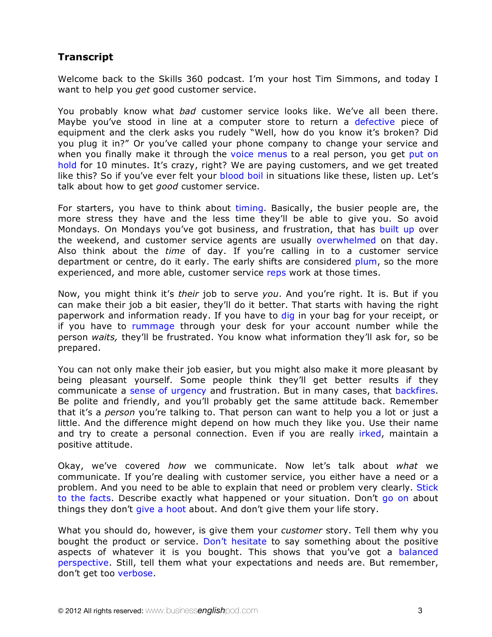# **Transcript**

Welcome back to the Skills 360 podcast. I'm your host Tim Simmons, and today I want to help you *get* good customer service.

You probably know what *bad* customer service looks like. We've all been there. Maybe you've stood in line at a computer store to return a defective piece of equipment and the clerk asks you rudely "Well, how do you know it's broken? Did you plug it in?" Or you've called your phone company to change your service and when you finally make it through the voice menus to a real person, you get put on hold for 10 minutes. It's crazy, right? We are paying customers, and we get treated like this? So if you've ever felt your blood boil in situations like these, listen up. Let's talk about how to get *good* customer service.

For starters, you have to think about timing. Basically, the busier people are, the more stress they have and the less time they'll be able to give you. So avoid Mondays. On Mondays you've got business, and frustration, that has built up over the weekend, and customer service agents are usually overwhelmed on that day. Also think about the *time* of day. If you're calling in to a customer service department or centre, do it early. The early shifts are considered plum, so the more experienced, and more able, customer service reps work at those times.

Now, you might think it's *their* job to serve *you*. And you're right. It is. But if you can make their job a bit easier, they'll do it better. That starts with having the right paperwork and information ready. If you have to dig in your bag for your receipt, or if you have to rummage through your desk for your account number while the person *waits,* they'll be frustrated. You know what information they'll ask for, so be prepared.

You can not only make their job easier, but you might also make it more pleasant by being pleasant yourself. Some people think they'll get better results if they communicate a sense of urgency and frustration. But in many cases, that backfires. Be polite and friendly, and you'll probably get the same attitude back. Remember that it's a *person* you're talking to. That person can want to help you a lot or just a little. And the difference might depend on how much they like you. Use their name and try to create a personal connection. Even if you are really irked, maintain a positive attitude.

Okay, we've covered *how* we communicate. Now let's talk about *what* we communicate. If you're dealing with customer service, you either have a need or a problem. And you need to be able to explain that need or problem very clearly. Stick to the facts. Describe exactly what happened or your situation. Don't go on about things they don't give a hoot about. And don't give them your life story.

What you should do, however, is give them your *customer* story. Tell them why you bought the product or service. Don't hesitate to say something about the positive aspects of whatever it is you bought. This shows that you've got a balanced perspective. Still, tell them what your expectations and needs are. But remember, don't get too verbose.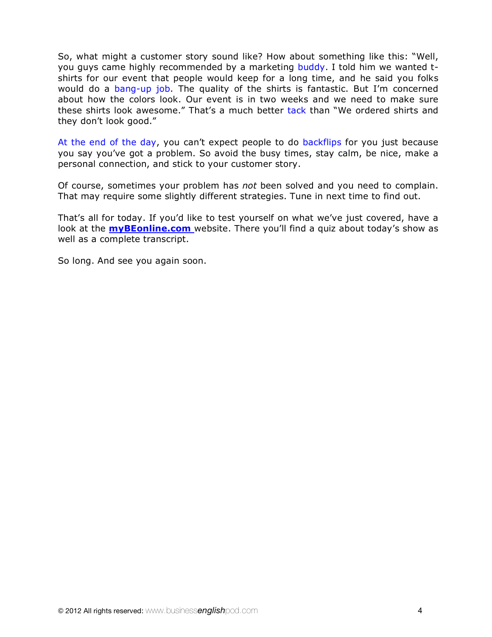So, what might a customer story sound like? How about something like this: "Well, you guys came highly recommended by a marketing buddy. I told him we wanted tshirts for our event that people would keep for a long time, and he said you folks would do a bang-up job. The quality of the shirts is fantastic. But I'm concerned about how the colors look. Our event is in two weeks and we need to make sure these shirts look awesome." That's a much better tack than "We ordered shirts and they don't look good."

At the end of the day, you can't expect people to do backflips for you just because you say you've got a problem. So avoid the busy times, stay calm, be nice, make a personal connection, and stick to your customer story.

Of course, sometimes your problem has *not* been solved and you need to complain. That may require some slightly different strategies. Tune in next time to find out.

That's all for today. If you'd like to test yourself on what we've just covered, have a look at the **myBEonline.com** website. There you'll find a quiz about today's show as well as a complete transcript.

So long. And see you again soon.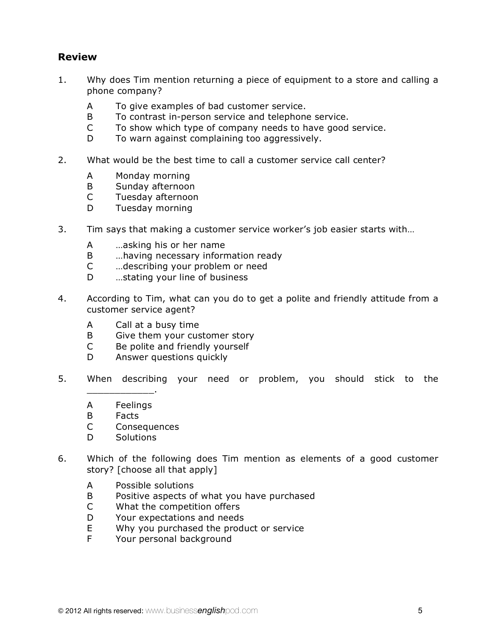# **Review**

- 1. Why does Tim mention returning a piece of equipment to a store and calling a phone company?
	- A To give examples of bad customer service.
	- B To contrast in-person service and telephone service.
	- C To show which type of company needs to have good service.
	- D To warn against complaining too aggressively.
- 2. What would be the best time to call a customer service call center?
	- A Monday morning
	- B Sunday afternoon
	- C Tuesday afternoon
	- D Tuesday morning
- 3. Tim says that making a customer service worker's job easier starts with…
	- A …asking his or her name
	- B …having necessary information ready
	- C …describing your problem or need
	- D …stating your line of business
- 4. According to Tim, what can you do to get a polite and friendly attitude from a customer service agent?
	- A Call at a busy time
	- B Give them your customer story
	- C Be polite and friendly yourself
	- D Answer questions quickly
- 5. When describing your need or problem, you should stick to the
	- \_\_\_\_\_\_\_\_\_\_\_\_. A Feelings
	- B Facts
	- C Consequences
	- D Solutions
- 6. Which of the following does Tim mention as elements of a good customer story? [choose all that apply]
	- A Possible solutions
	- B Positive aspects of what you have purchased
	- C What the competition offers
	- D Your expectations and needs
	- E Why you purchased the product or service
	- F Your personal background